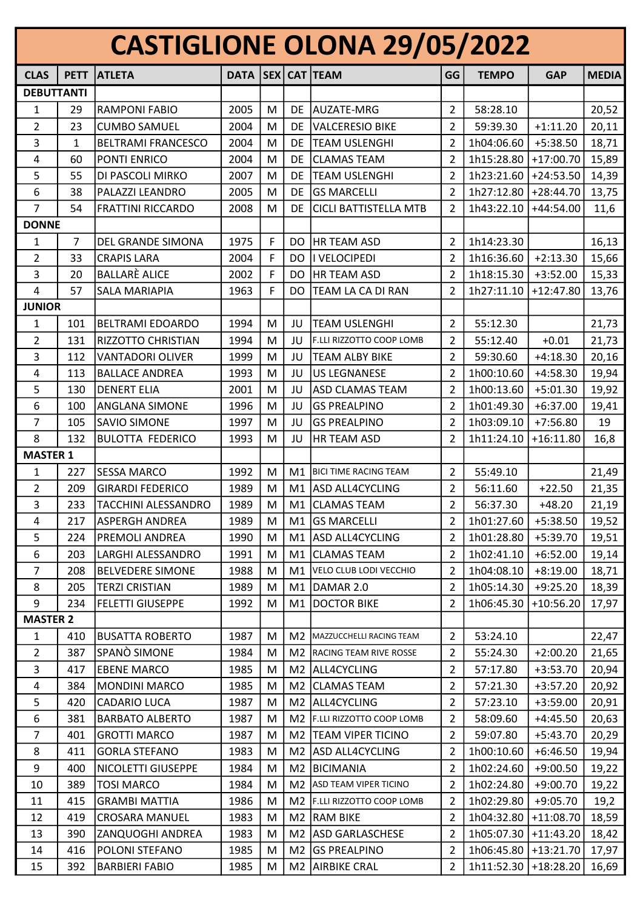| <b>CASTIGLIONE OLONA 29/05/2022</b> |             |                            |                         |   |     |                                           |                |              |             |              |
|-------------------------------------|-------------|----------------------------|-------------------------|---|-----|-------------------------------------------|----------------|--------------|-------------|--------------|
| <b>CLAS</b>                         | <b>PETT</b> | <b>ATLETA</b>              | DATA   SEX   CAT   TEAM |   |     |                                           | GG             | <b>TEMPO</b> | <b>GAP</b>  | <b>MEDIA</b> |
| <b>DEBUTTANTI</b>                   |             |                            |                         |   |     |                                           |                |              |             |              |
| 1                                   | 29          | <b>RAMPONI FABIO</b>       | 2005                    | M | DE  | <b>AUZATE-MRG</b>                         | $\overline{2}$ | 58:28.10     |             | 20,52        |
| 2                                   | 23          | <b>CUMBO SAMUEL</b>        | 2004                    | M | DE  | <b>VALCERESIO BIKE</b>                    | 2              | 59:39.30     | $+1:11.20$  | 20,11        |
| 3                                   | 1           | <b>BELTRAMI FRANCESCO</b>  | 2004                    | M | DE  | TEAM USLENGHI                             | $\overline{2}$ | 1h04:06.60   | $+5:38.50$  | 18,71        |
| 4                                   | 60          | PONTI ENRICO               | 2004                    | M | DE  | <b>CLAMAS TEAM</b>                        | $\overline{2}$ | 1h15:28.80   | $+17:00.70$ | 15,89        |
| 5                                   | 55          | DI PASCOLI MIRKO           | 2007                    | M | DE  | <b>TEAM USLENGHI</b>                      | $\overline{2}$ | 1h23:21.60   | $+24:53.50$ | 14,39        |
| 6                                   | 38          | PALAZZI LEANDRO            | 2005                    | M | DE  | <b>GS MARCELLI</b>                        | 2              | 1h27:12.80   | $+28:44.70$ | 13,75        |
| 7                                   | 54          | <b>FRATTINI RICCARDO</b>   | 2008                    | M | DE  | CICLI BATTISTELLA MTB                     | 2              | 1h43:22.10   | +44:54.00   | 11,6         |
| <b>DONNE</b>                        |             |                            |                         |   |     |                                           |                |              |             |              |
| 1                                   | 7           | <b>DEL GRANDE SIMONA</b>   | 1975                    | F | DO. | HR TEAM ASD                               | $\overline{2}$ | 1h14:23.30   |             | 16,13        |
| 2                                   | 33          | <b>CRAPIS LARA</b>         | 2004                    | F | DO  | I VELOCIPEDI                              | $\overline{2}$ | 1h16:36.60   | $+2:13.30$  | 15,66        |
| 3                                   | 20          | <b>BALLARÈ ALICE</b>       | 2002                    | F | DO. | <b>HR TEAM ASD</b>                        | $\overline{2}$ | 1h18:15.30   | $+3:52.00$  | 15,33        |
| 4                                   | 57          | <b>SALA MARIAPIA</b>       | 1963                    | F | DO  | TEAM LA CA DI RAN                         | 2              | 1h27:11.10   | $+12:47.80$ | 13,76        |
| <b>JUNIOR</b>                       |             |                            |                         |   |     |                                           |                |              |             |              |
| 1                                   | 101         | <b>BELTRAMI EDOARDO</b>    | 1994                    | M | JU  | <b>TEAM USLENGHI</b>                      | $\overline{2}$ | 55:12.30     |             | 21,73        |
| 2                                   | 131         | RIZZOTTO CHRISTIAN         | 1994                    | M | JU  | F.LLI RIZZOTTO COOP LOMB                  | 2              | 55:12.40     | $+0.01$     | 21,73        |
| 3                                   | 112         | <b>VANTADORI OLIVER</b>    | 1999                    | M | JU  | <b>TEAM ALBY BIKE</b>                     | $\overline{2}$ | 59:30.60     | $+4:18.30$  | 20,16        |
| 4                                   | 113         | <b>BALLACE ANDREA</b>      | 1993                    | M | JU  | <b>US LEGNANESE</b>                       | $\overline{2}$ | 1h00:10.60   | $+4:58.30$  | 19,94        |
| 5                                   | 130         | <b>DENERT ELIA</b>         | 2001                    | M | JU  | <b>ASD CLAMAS TEAM</b>                    | 2              | 1h00:13.60   | $+5:01.30$  | 19,92        |
| 6                                   | 100         | ANGLANA SIMONE             | 1996                    | M | JU  | <b>GS PREALPINO</b>                       | 2              | 1h01:49.30   | $+6:37.00$  | 19,41        |
| 7                                   | 105         | <b>SAVIO SIMONE</b>        | 1997                    | M | JU  | <b>GS PREALPINO</b>                       | 2              | 1h03:09.10   | $+7:56.80$  | 19           |
| 8                                   | 132         | <b>BULOTTA FEDERICO</b>    | 1993                    | M | JU  | <b>HR TEAM ASD</b>                        | 2              | 1h11:24.10   | $+16:11.80$ | 16,8         |
| <b>MASTER 1</b>                     |             |                            |                         |   |     |                                           |                |              |             |              |
| 1                                   | 227         | <b>SESSA MARCO</b>         | 1992                    | M | M1  | <b>BICI TIME RACING TEAM</b>              | $\overline{2}$ | 55:49.10     |             | 21,49        |
| $\overline{2}$                      | 209         | <b>GIRARDI FEDERICO</b>    | 1989                    | M | M1  | ASD ALL4CYCLING                           | 2              | 56:11.60     | $+22.50$    | 21,35        |
| 3                                   | 233         | <b>TACCHINI ALESSANDRO</b> | 1989                    | M | M1  | <b>CLAMAS TEAM</b>                        | 2              | 56:37.30     | $+48.20$    | 21,19        |
| 4                                   | 217         | <b>ASPERGH ANDREA</b>      | 1989                    | M |     | M1 GS MARCELLI                            | 2              | 1h01:27.60   | $+5:38.50$  | 19,52        |
| 5                                   | 224         | PREMOLI ANDREA             | 1990                    | M | M1  | <b>ASD ALL4CYCLING</b>                    | 2              | 1h01:28.80   | $+5:39.70$  | 19,51        |
| 6                                   | 203         | LARGHI ALESSANDRO          | 1991                    | M |     | M1 CLAMAS TEAM                            | 2              | 1h02:41.10   | $+6:52.00$  | 19,14        |
| $\overline{7}$                      | 208         | <b>BELVEDERE SIMONE</b>    | 1988                    | M | M1  | VELO CLUB LODI VECCHIO                    | $\overline{2}$ | 1h04:08.10   | $+8:19.00$  | 18,71        |
| 8                                   | 205         | <b>TERZI CRISTIAN</b>      | 1989                    | M |     | M1 DAMAR 2.0                              | 2              | 1h05:14.30   | $+9:25.20$  | 18,39        |
| 9                                   | 234         | <b>FELETTI GIUSEPPE</b>    | 1992                    | м | M1  | DOCTOR BIKE                               | 2              | 1h06:45.30   | $+10:56.20$ | 17,97        |
| <b>MASTER 2</b>                     |             |                            |                         |   |     |                                           |                |              |             |              |
| $\mathbf{1}$                        | 410         | <b>BUSATTA ROBERTO</b>     | 1987                    | M | M2  | MAZZUCCHELLI RACING TEAM                  | 2              | 53:24.10     |             | 22,47        |
| $\overline{2}$                      | 387         | SPANÒ SIMONE               | 1984                    | M |     | M2   RACING TEAM RIVE ROSSE               | $\overline{2}$ | 55:24.30     | $+2:00.20$  | 21,65        |
| 3                                   | 417         | <b>EBENE MARCO</b>         | 1985                    | M |     | M2 ALL4CYCLING                            | 2              | 57:17.80     | $+3:53.70$  | 20,94        |
| 4                                   | 384         | <b>MONDINI MARCO</b>       | 1985                    | M |     | M2 CLAMAS TEAM                            | 2              | 57:21.30     | $+3:57.20$  | 20,92        |
| 5                                   | 420         | <b>CADARIO LUCA</b>        | 1987                    | M |     | M2 ALL4CYCLING                            | $\overline{2}$ | 57:23.10     | $+3:59.00$  | 20,91        |
| 6                                   | 381         | <b>BARBATO ALBERTO</b>     | 1987                    | M |     | M <sub>2</sub>   F.LLI RIZZOTTO COOP LOMB | 2              | 58:09.60     | $+4:45.50$  | 20,63        |
| $\overline{7}$                      | 401         | <b>GROTTI MARCO</b>        | 1987                    | M |     | M2  TEAM VIPER TICINO                     | 2              | 59:07.80     | $+5:43.70$  | 20,29        |
| 8                                   | 411         | <b>GORLA STEFANO</b>       | 1983                    | M | M2  | <b>ASD ALL4CYCLING</b>                    | $\overline{2}$ | 1h00:10.60   | $+6:46.50$  | 19,94        |
| 9                                   | 400         | NICOLETTI GIUSEPPE         | 1984                    | M |     | M2   BICIMANIA                            | 2              | 1h02:24.60   | $+9:00.50$  | 19,22        |
| 10                                  | 389         | <b>TOSI MARCO</b>          | 1984                    | M | M2  | ASD TEAM VIPER TICINO                     | $\overline{2}$ | 1h02:24.80   | $+9:00.70$  | 19,22        |
| 11                                  | 415         | <b>GRAMBI MATTIA</b>       | 1986                    | M |     | M2   F.LLI RIZZOTTO COOP LOMB             | 2              | 1h02:29.80   | $+9:05.70$  | 19,2         |
| 12                                  | 419         | <b>CROSARA MANUEL</b>      | 1983                    | M |     | M <sub>2</sub> RAM BIKE                   | 2              | 1h04:32.80   | $+11:08.70$ | 18,59        |
| 13                                  | 390         | <b>ZANQUOGHI ANDREA</b>    | 1983                    | M |     | M2 ASD GARLASCHESE                        | 2              | 1h05:07.30   | $+11:43.20$ | 18,42        |
| 14                                  | 416         | POLONI STEFANO             | 1985                    | M | M2  | <b>GS PREALPINO</b>                       | 2              | 1h06:45.80   | $+13:21.70$ | 17,97        |
| 15                                  | 392         | <b>BARBIERI FABIO</b>      | 1985                    | M |     | M2 AIRBIKE CRAL                           | 2              | 1h11:52.30   | $+18:28.20$ | 16,69        |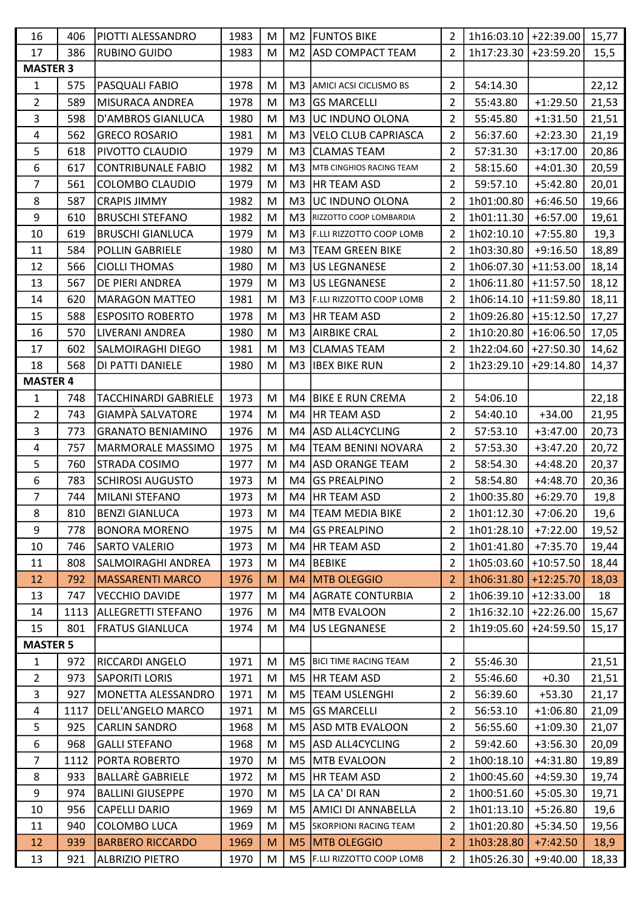| 16              | 406  | PIOTTI ALESSANDRO           | 1983 | M |                | M2 FUNTOS BIKE               | 2              | 1h16:03.10   +22:39.00 |             | 15,77 |
|-----------------|------|-----------------------------|------|---|----------------|------------------------------|----------------|------------------------|-------------|-------|
| 17              | 386  | <b>RUBINO GUIDO</b>         | 1983 | M | M <sub>2</sub> | <b>ASD COMPACT TEAM</b>      | $\overline{2}$ | 1h17:23.30             | +23:59.20   | 15,5  |
| <b>MASTER 3</b> |      |                             |      |   |                |                              |                |                        |             |       |
| 1               | 575  | PASQUALI FABIO              | 1978 | M | M <sub>3</sub> | AMICI ACSI CICLISMO BS       | 2              | 54:14.30               |             | 22,12 |
| 2               | 589  | MISURACA ANDREA             | 1978 | M | M <sub>3</sub> | <b>GS MARCELLI</b>           | 2              | 55:43.80               | $+1:29.50$  | 21,53 |
| 3               | 598  | <b>D'AMBROS GIANLUCA</b>    | 1980 | M | M <sub>3</sub> | UC INDUNO OLONA              | 2              | 55:45.80               | $+1:31.50$  | 21,51 |
| $\overline{4}$  | 562  | <b>GRECO ROSARIO</b>        | 1981 | M | M <sub>3</sub> | <b>VELO CLUB CAPRIASCA</b>   | $\overline{2}$ | 56:37.60               | $+2:23.30$  | 21,19 |
| 5               | 618  | PIVOTTO CLAUDIO             | 1979 | M | M <sub>3</sub> | <b>CLAMAS TEAM</b>           | 2              | 57:31.30               | $+3:17.00$  | 20,86 |
| 6               | 617  | <b>CONTRIBUNALE FABIO</b>   | 1982 | M | M <sub>3</sub> | MTB CINGHIOS RACING TEAM     | $\overline{2}$ | 58:15.60               | $+4:01.30$  | 20,59 |
| 7               | 561  | <b>COLOMBO CLAUDIO</b>      | 1979 | M | M3             | <b>HR TEAM ASD</b>           | 2              | 59:57.10               | $+5:42.80$  | 20,01 |
| 8               | 587  | <b>CRAPIS JIMMY</b>         | 1982 | M | M <sub>3</sub> | UC INDUNO OLONA              | 2              | 1h01:00.80             | $+6:46.50$  | 19,66 |
| 9               | 610  | <b>BRUSCHI STEFANO</b>      | 1982 | M | M <sub>3</sub> | RIZZOTTO COOP LOMBARDIA      | 2              | 1h01:11.30             | $+6:57.00$  | 19,61 |
| 10              | 619  | <b>BRUSCHI GIANLUCA</b>     | 1979 | M | M <sub>3</sub> | F.LLI RIZZOTTO COOP LOMB     | 2              | 1h02:10.10             | $+7:55.80$  | 19,3  |
| 11              | 584  | <b>POLLIN GABRIELE</b>      | 1980 | M | M <sub>3</sub> | <b>TEAM GREEN BIKE</b>       | 2              | 1h03:30.80             | $+9:16.50$  | 18,89 |
| 12              | 566  | <b>CIOLLI THOMAS</b>        | 1980 | M | M <sub>3</sub> | <b>US LEGNANESE</b>          | $\overline{2}$ | 1h06:07.30             | $+11:53.00$ | 18,14 |
| 13              | 567  | DE PIERI ANDREA             | 1979 | M | M <sub>3</sub> | <b>US LEGNANESE</b>          | 2              | 1h06:11.80             | $+11:57.50$ | 18,12 |
| 14              | 620  | <b>MARAGON MATTEO</b>       | 1981 | M | M <sub>3</sub> | F.LLI RIZZOTTO COOP LOMB     | 2              | 1h06:14.10             | $+11:59.80$ | 18,11 |
| 15              | 588  | <b>ESPOSITO ROBERTO</b>     | 1978 | M | M <sub>3</sub> | <b>HR TEAM ASD</b>           | 2              | 1h09:26.80             | $+15:12.50$ | 17,27 |
| 16              | 570  | LIVERANI ANDREA             | 1980 | M | M <sub>3</sub> | <b>AIRBIKE CRAL</b>          | $\overline{2}$ | 1h10:20.80             | $+16:06.50$ |       |
| 17              | 602  | <b>SALMOIRAGHI DIEGO</b>    | 1981 |   | M <sub>3</sub> | <b>CLAMAS TEAM</b>           |                | 1h22:04.60             |             | 17,05 |
|                 |      |                             |      | M |                |                              | $\overline{2}$ |                        | $+27:50.30$ | 14,62 |
| 18              | 568  | DI PATTI DANIELE            | 1980 | M | M3             | <b>IBEX BIKE RUN</b>         | 2              | 1h23:29.10             | $+29:14.80$ | 14,37 |
| <b>MASTER 4</b> |      |                             |      |   |                |                              |                |                        |             |       |
| 1               | 748  | <b>TACCHINARDI GABRIELE</b> | 1973 | M | M4             | <b>BIKE E RUN CREMA</b>      | 2              | 54:06.10               |             | 22,18 |
| 2               | 743  | <b>GIAMPÀ SALVATORE</b>     | 1974 | M | M4             | <b>HR TEAM ASD</b>           | $\overline{2}$ | 54:40.10               | $+34.00$    | 21,95 |
| 3               | 773  | <b>GRANATO BENIAMINO</b>    | 1976 | M | M4             | <b>ASD ALL4CYCLING</b>       | $\overline{2}$ | 57:53.10               | $+3:47.00$  | 20,73 |
| 4               | 757  | MARMORALE MASSIMO           | 1975 | M | M4             | <b>TEAM BENINI NOVARA</b>    | $\overline{2}$ | 57:53.30               | $+3:47.20$  | 20,72 |
| 5               | 760  | STRADA COSIMO               | 1977 | M | M4             | <b>ASD ORANGE TEAM</b>       | 2              | 58:54.30               | $+4:48.20$  | 20,37 |
| 6               | 783  | <b>SCHIROSI AUGUSTO</b>     | 1973 | M | M4             | <b>GS PREALPINO</b>          | 2              | 58:54.80               | $+4:48.70$  | 20,36 |
| $\overline{7}$  | 744  | <b>MILANI STEFANO</b>       | 1973 | M | M4             | HR TEAM ASD                  | 2              | 1h00:35.80             | $+6:29.70$  | 19,8  |
| 8               | 810  | <b>BENZI GIANLUCA</b>       | 1973 | M | M4             | <b>TEAM MEDIA BIKE</b>       | $\overline{2}$ | 1h01:12.30             | $+7:06.20$  | 19,6  |
| 9               | 778  | <b>BONORA MORENO</b>        | 1975 | M | M4             | <b>GS PREALPINO</b>          | 2              | 1h01:28.10             | $+7:22.00$  | 19,52 |
| 10              | 746  | SARTO VALERIO               | 1973 | M | M4             | HR TEAM ASD                  | $\overline{2}$ | 1h01:41.80             | $+7:35.70$  | 19,44 |
| 11              | 808  | SALMOIRAGHI ANDREA          | 1973 | M | M4             | <b>BEBIKE</b>                | 2              | 1h05:03.60             | $+10:57.50$ | 18,44 |
| 12              | 792  | <b>MASSARENTI MARCO</b>     | 1976 | M | M4             | <b>MTB OLEGGIO</b>           | 2              | 1h06:31.80             | $+12:25.70$ | 18,03 |
| 13              | 747  | <b>VECCHIO DAVIDE</b>       | 1977 | M | M4             | <b>AGRATE CONTURBIA</b>      | 2              | 1h06:39.10             | $+12:33.00$ | 18    |
| 14              | 1113 | <b>ALLEGRETTI STEFANO</b>   | 1976 | M | M4             | <b>MTB EVALOON</b>           | 2              | 1h16:32.10             | $+22:26.00$ | 15,67 |
| 15              | 801  | <b>FRATUS GIANLUCA</b>      | 1974 | M | M4             | <b>US LEGNANESE</b>          | 2              | 1h19:05.60             | $+24:59.50$ | 15,17 |
| <b>MASTER 5</b> |      |                             |      |   |                |                              |                |                        |             |       |
| 1               | 972  | RICCARDI ANGELO             | 1971 | M | M5             | <b>BICI TIME RACING TEAM</b> | $\overline{2}$ | 55:46.30               |             | 21,51 |
| $\overline{2}$  | 973  | <b>SAPORITI LORIS</b>       | 1971 | M | M5             | <b>HR TEAM ASD</b>           | 2              | 55:46.60               | $+0.30$     | 21,51 |
| 3               | 927  | MONETTA ALESSANDRO          | 1971 | M | M5             | <b>TEAM USLENGHI</b>         | 2              | 56:39.60               | $+53.30$    | 21,17 |
| 4               | 1117 | DELL'ANGELO MARCO           | 1971 | M | M <sub>5</sub> | <b>GS MARCELLI</b>           | 2              | 56:53.10               | $+1:06.80$  | 21,09 |
| 5               | 925  | <b>CARLIN SANDRO</b>        | 1968 | M | M5             | <b>ASD MTB EVALOON</b>       | 2              | 56:55.60               | $+1:09.30$  | 21,07 |
| 6               | 968  | <b>GALLI STEFANO</b>        | 1968 | M |                | M5 ASD ALL4CYCLING           | $\overline{2}$ | 59:42.60               | $+3:56.30$  | 20,09 |
| 7               | 1112 | PORTA ROBERTO               | 1970 | M | M5             | MTB EVALOON                  | 2              | 1h00:18.10             | $+4:31.80$  | 19,89 |
| 8               | 933  | <b>BALLARE GABRIELE</b>     | 1972 | M | M5             | <b>HR TEAM ASD</b>           | 2              | 1h00:45.60             | $+4:59.30$  | 19,74 |
| 9               | 974  | <b>BALLINI GIUSEPPE</b>     | 1970 | M | M5             | LA CA' DI RAN                | 2              | 1h00:51.60             | $+5:05.30$  | 19,71 |
| 10              | 956  | <b>CAPELLI DARIO</b>        | 1969 | M | M5             | <b>AMICI DI ANNABELLA</b>    | 2              | 1h01:13.10             | $+5:26.80$  | 19,6  |
| 11              | 940  | COLOMBO LUCA                | 1969 | M |                | M5 SKORPIONI RACING TEAM     | 2              | 1h01:20.80             | $+5:34.50$  | 19,56 |
| 12              | 939  | <b>BARBERO RICCARDO</b>     | 1969 | M | M <sub>5</sub> | <b>MTB OLEGGIO</b>           | 2              | 1h03:28.80             | $+7:42.50$  | 18,9  |
| 13              | 921  | <b>ALBRIZIO PIETRO</b>      | 1970 | M | M <sub>5</sub> | F.LLI RIZZOTTO COOP LOMB     | 2              | 1h05:26.30             | $+9:40.00$  | 18,33 |